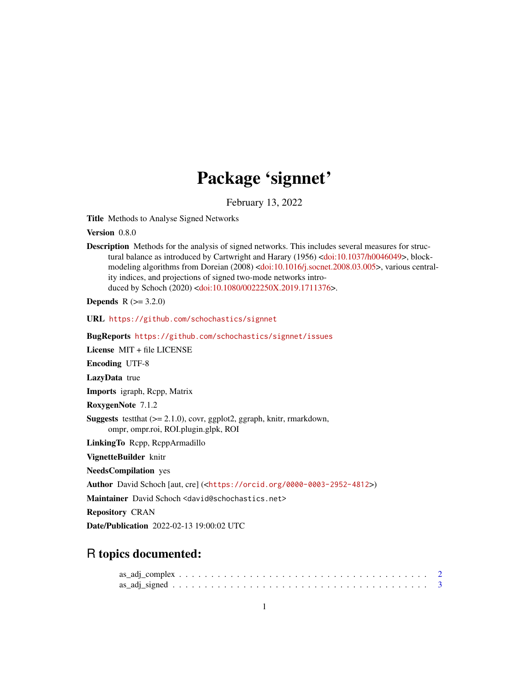# Package 'signnet'

February 13, 2022

<span id="page-0-0"></span>Title Methods to Analyse Signed Networks

Version 0.8.0

Description Methods for the analysis of signed networks. This includes several measures for structural balance as introduced by Cartwright and Harary (1956) [<doi:10.1037/h0046049>](https://doi.org/10.1037/h0046049), blockmodeling algorithms from Doreian (2008) [<doi:10.1016/j.socnet.2008.03.005>](https://doi.org/10.1016/j.socnet.2008.03.005), various centrality indices, and projections of signed two-mode networks introduced by Schoch (2020) [<doi:10.1080/0022250X.2019.1711376>](https://doi.org/10.1080/0022250X.2019.1711376).

**Depends** R  $(>= 3.2.0)$ 

URL <https://github.com/schochastics/signnet>

BugReports <https://github.com/schochastics/signnet/issues>

License MIT + file LICENSE

Encoding UTF-8

LazyData true

Imports igraph, Rcpp, Matrix

RoxygenNote 7.1.2

**Suggests** test that  $(>= 2.1.0)$ , covr, ggplot 2, ggraph, knitr, rmarkdown, ompr, ompr.roi, ROI.plugin.glpk, ROI

LinkingTo Rcpp, RcppArmadillo

VignetteBuilder knitr

NeedsCompilation yes

Author David Schoch [aut, cre] (<<https://orcid.org/0000-0003-2952-4812>>)

Maintainer David Schoch <david@schochastics.net>

Repository CRAN

Date/Publication 2022-02-13 19:00:02 UTC

# R topics documented: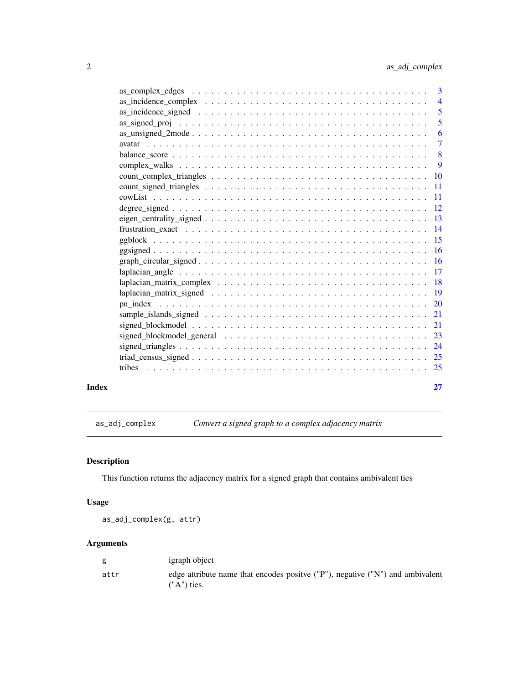<span id="page-1-0"></span>

| Index | 27                        |
|-------|---------------------------|
|       |                           |
|       |                           |
|       |                           |
|       |                           |
|       |                           |
|       |                           |
|       |                           |
|       |                           |
|       |                           |
|       |                           |
|       |                           |
|       |                           |
|       |                           |
|       |                           |
|       |                           |
|       |                           |
|       |                           |
|       |                           |
|       |                           |
|       | 9                         |
|       | $\overline{\phantom{0}}8$ |
|       | $\overline{7}$            |
|       | -6                        |
|       |                           |
|       | $\overline{\mathbf{5}}$   |
|       | $\overline{4}$            |
|       |                           |

<span id="page-1-1"></span>as\_adj\_complex *Convert a signed graph to a complex adjacency matrix*

# Description

This function returns the adjacency matrix for a signed graph that contains ambivalent ties

# Usage

as\_adj\_complex(g, attr)

# Arguments

| g    | igraph object                                                                                   |
|------|-------------------------------------------------------------------------------------------------|
| attr | edge attribute name that encodes positive ("P"), negative ("N") and ambivalent<br>$('A")$ ties. |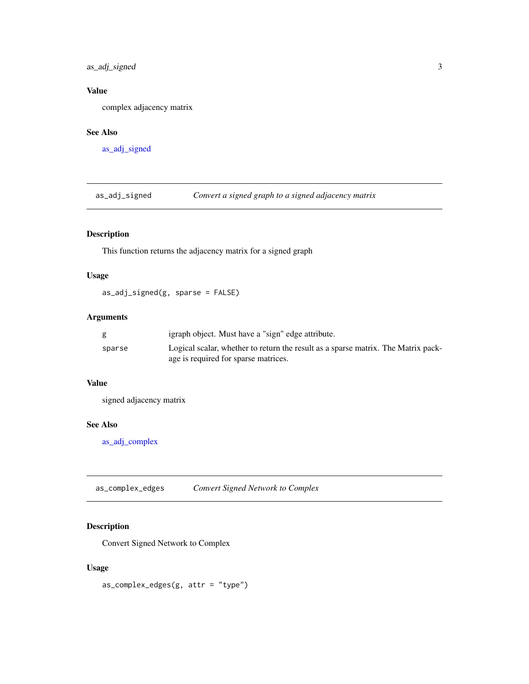<span id="page-2-0"></span>as\_adj\_signed 3

# Value

complex adjacency matrix

#### See Also

[as\\_adj\\_signed](#page-2-1)

<span id="page-2-1"></span>as\_adj\_signed *Convert a signed graph to a signed adjacency matrix*

# Description

This function returns the adjacency matrix for a signed graph

# Usage

as\_adj\_signed(g, sparse = FALSE)

# Arguments

| g      | igraph object. Must have a "sign" edge attribute.                                 |
|--------|-----------------------------------------------------------------------------------|
| sparse | Logical scalar, whether to return the result as a sparse matrix. The Matrix pack- |
|        | age is required for sparse matrices.                                              |

# Value

signed adjacency matrix

#### See Also

[as\\_adj\\_complex](#page-1-1)

as\_complex\_edges *Convert Signed Network to Complex*

# Description

Convert Signed Network to Complex

#### Usage

 $as\_complex\_edges(g, attr = "type")$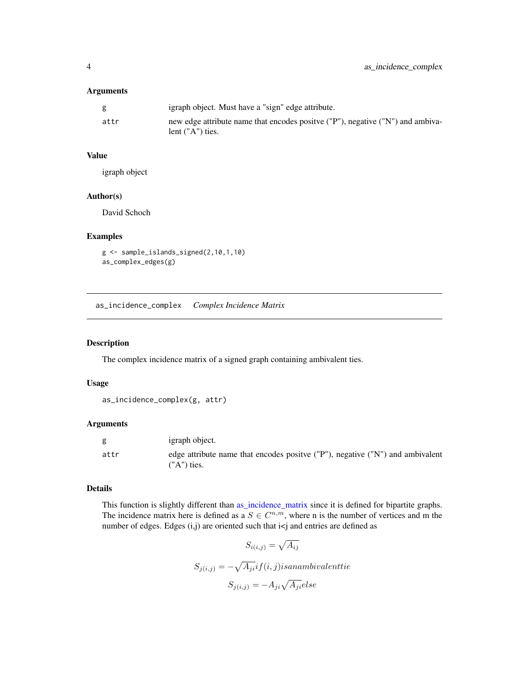#### <span id="page-3-0"></span>Arguments

|      | igraph object. Must have a "sign" edge attribute.                               |
|------|---------------------------------------------------------------------------------|
| attr | new edge attribute name that encodes positive ("P"), negative ("N") and ambiva- |
|      | lent $("A")$ ties.                                                              |

#### Value

igraph object

# Author(s)

David Schoch

#### Examples

```
g <- sample_islands_signed(2,10,1,10)
as_complex_edges(g)
```
as\_incidence\_complex *Complex Incidence Matrix*

#### Description

The complex incidence matrix of a signed graph containing ambivalent ties.

#### Usage

```
as_incidence_complex(g, attr)
```
#### Arguments

| g    | igraph object.                                                                                  |
|------|-------------------------------------------------------------------------------------------------|
| attr | edge attribute name that encodes positve ("P"), negative ("N") and ambivalent<br>$(''A")$ ties. |

# Details

This function is slightly different than [as\\_incidence\\_matrix](#page-0-0) since it is defined for bipartite graphs. The incidence matrix here is defined as a  $S \in \mathbb{C}^{n,m}$ , where n is the number of vertices and m the number of edges. Edges (i,j) are oriented such that i<j and entries are defined as

$$
S_{i(i,j)} = \sqrt{A_{ij}}
$$
  

$$
S_{j(i,j)} = -\sqrt{A_{ji}} if(i,j) is an ambivalent tie
$$
  

$$
S_{j(i,j)} = -A_{ji}\sqrt{A_{ji}} else
$$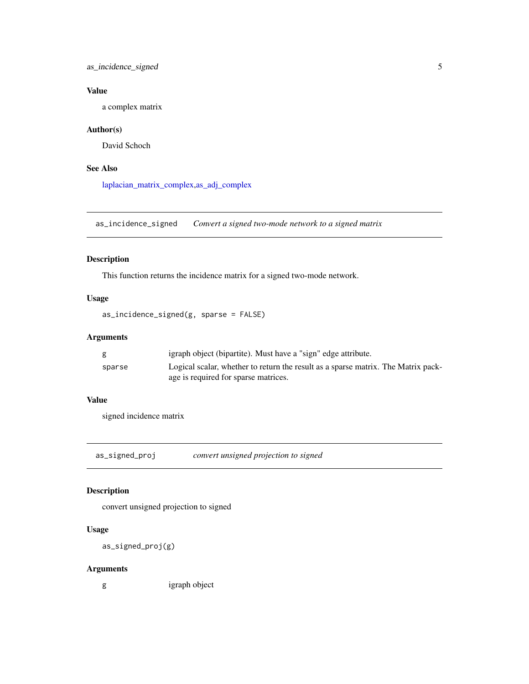# <span id="page-4-0"></span>as\_incidence\_signed 5

# Value

a complex matrix

# Author(s)

David Schoch

# See Also

[laplacian\\_matrix\\_complex](#page-17-1)[,as\\_adj\\_complex](#page-1-1)

as\_incidence\_signed *Convert a signed two-mode network to a signed matrix*

# Description

This function returns the incidence matrix for a signed two-mode network.

#### Usage

```
as_incidence_signed(g, sparse = FALSE)
```
#### Arguments

|        | igraph object (bipartite). Must have a "sign" edge attribute.                     |
|--------|-----------------------------------------------------------------------------------|
| sparse | Logical scalar, whether to return the result as a sparse matrix. The Matrix pack- |
|        | age is required for sparse matrices.                                              |

# Value

signed incidence matrix

<span id="page-4-1"></span>as\_signed\_proj *convert unsigned projection to signed*

# Description

convert unsigned projection to signed

#### Usage

as\_signed\_proj(g)

# Arguments

g igraph object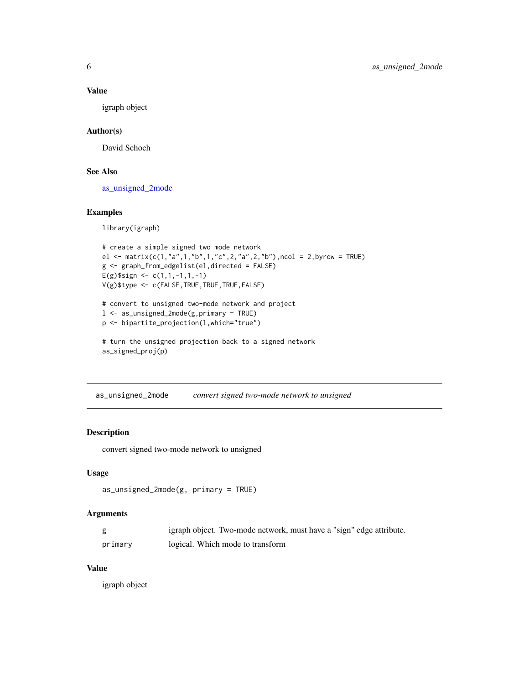#### Value

igraph object

# Author(s)

David Schoch

# See Also

[as\\_unsigned\\_2mode](#page-5-1)

#### Examples

library(igraph)

```
# create a simple signed two mode network
el <- matrix(c(1,"a",1,"b",1,"c",2,"a",2,"b"),ncol = 2,byrow = TRUE)
g <- graph_from_edgelist(el,directed = FALSE)
E(g)$sign <- c(1,1,-1,1,-1)
V(g)$type <- c(FALSE,TRUE,TRUE,TRUE,FALSE)
# convert to unsigned two-mode network and project
```

```
l <- as_unsigned_2mode(g,primary = TRUE)
p <- bipartite_projection(l,which="true")
```

```
# turn the unsigned projection back to a signed network
as_signed_proj(p)
```
<span id="page-5-1"></span>as\_unsigned\_2mode *convert signed two-mode network to unsigned*

# Description

convert signed two-mode network to unsigned

#### Usage

```
as_unsigned_2mode(g, primary = TRUE)
```
#### Arguments

|         | igraph object. Two-mode network, must have a "sign" edge attribute. |
|---------|---------------------------------------------------------------------|
| primary | logical. Which mode to transform                                    |

# Value

igraph object

<span id="page-5-0"></span>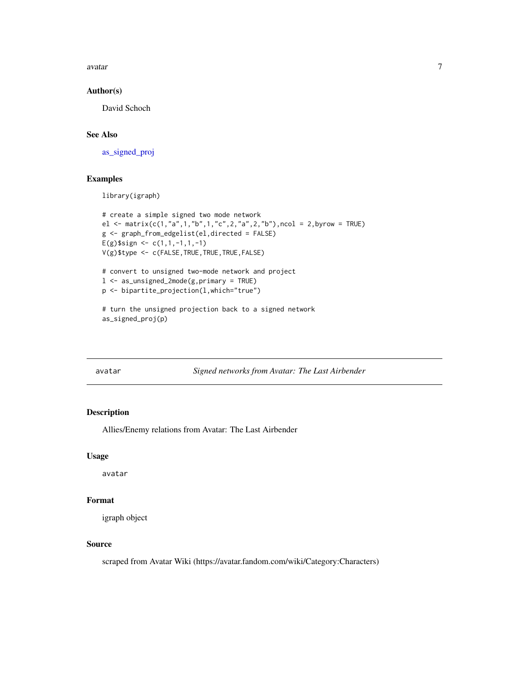<span id="page-6-0"></span>avatar 7 metatra 1999 - 1999 - 1999 - 1999 - 1999 - 1999 - 1999 - 1999 - 1999 - 1999 - 1999 - 1999 - 1999 - 1

#### Author(s)

David Schoch

# See Also

[as\\_signed\\_proj](#page-4-1)

# Examples

library(igraph)

```
# create a simple signed two mode network
el <- matrix(c(1,"a",1,"b",1,"c",2,"a",2,"b"),ncol = 2,byrow = TRUE)
g <- graph_from_edgelist(el,directed = FALSE)
E(g)$sign <- c(1,1,-1,1,-1)
V(g)$type <- c(FALSE,TRUE,TRUE,TRUE,FALSE)
# convert to unsigned two-mode network and project
l <- as_unsigned_2mode(g,primary = TRUE)
p <- bipartite_projection(l,which="true")
```
# turn the unsigned projection back to a signed network as\_signed\_proj(p)

avatar *Signed networks from Avatar: The Last Airbender*

#### Description

Allies/Enemy relations from Avatar: The Last Airbender

#### Usage

avatar

#### Format

igraph object

#### Source

scraped from Avatar Wiki (https://avatar.fandom.com/wiki/Category:Characters)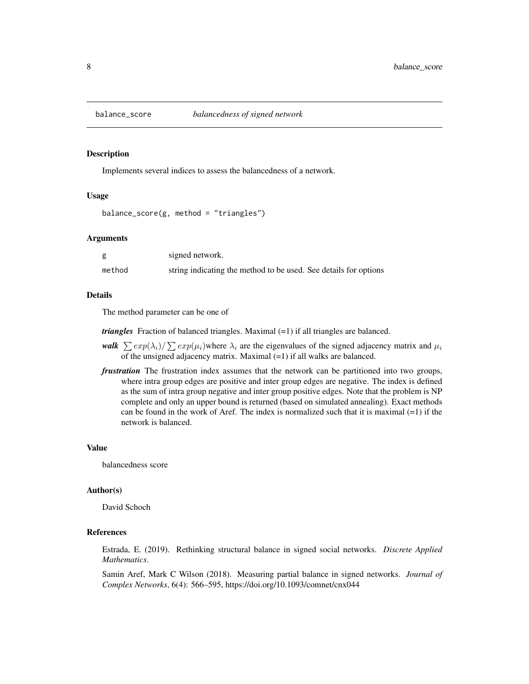<span id="page-7-0"></span>

Implements several indices to assess the balancedness of a network.

#### Usage

balance\_score(g, method = "triangles")

#### Arguments

|        | signed network.                                                  |
|--------|------------------------------------------------------------------|
| method | string indicating the method to be used. See details for options |

#### Details

The method parameter can be one of

*triangles* Fraction of balanced triangles. Maximal (=1) if all triangles are balanced.

- *walk*  $\sum exp(\lambda_i)/\sum exp(\mu_i)$  where  $\lambda_i$  are the eigenvalues of the signed adjacency matrix and  $\mu_i$ of the unsigned adjacency matrix. Maximal (=1) if all walks are balanced.
- *frustration* The frustration index assumes that the network can be partitioned into two groups, where intra group edges are positive and inter group edges are negative. The index is defined as the sum of intra group negative and inter group positive edges. Note that the problem is NP complete and only an upper bound is returned (based on simulated annealing). Exact methods can be found in the work of Aref. The index is normalized such that it is maximal  $(=1)$  if the network is balanced.

#### Value

balancedness score

#### Author(s)

David Schoch

# References

Estrada, E. (2019). Rethinking structural balance in signed social networks. *Discrete Applied Mathematics*.

Samin Aref, Mark C Wilson (2018). Measuring partial balance in signed networks. *Journal of Complex Networks*, 6(4): 566–595, https://doi.org/10.1093/comnet/cnx044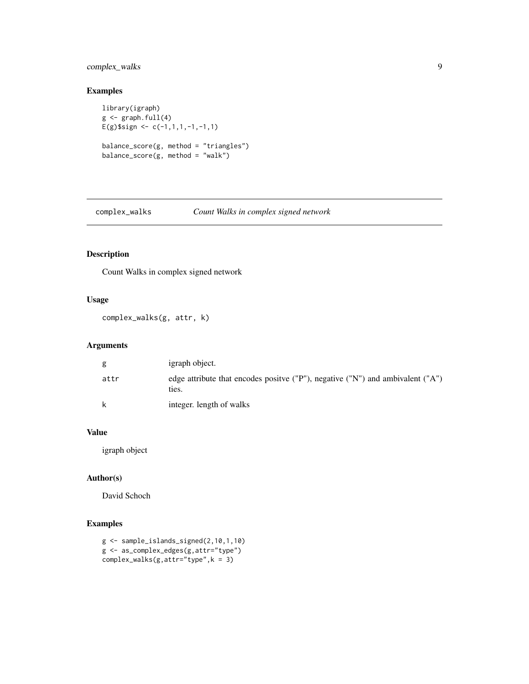# <span id="page-8-0"></span>complex\_walks 9

# Examples

```
library(igraph)
g \leftarrow graph.full(4)
E(g)$sign <- c(-1,1,1,-1,-1,1)
balance_score(g, method = "triangles")
balance_score(g, method = "walk")
```
complex\_walks *Count Walks in complex signed network*

# Description

Count Walks in complex signed network

# Usage

complex\_walks(g, attr, k)

# Arguments

| g    | igraph object.                                                                                           |
|------|----------------------------------------------------------------------------------------------------------|
| attr | edge attribute that encodes positive ( $P''$ ), negative ( $''N''$ ) and ambivalent ( $''A''$ )<br>ties. |
| k    | integer. length of walks                                                                                 |

# Value

igraph object

# Author(s)

David Schoch

```
g <- sample_islands_signed(2,10,1,10)
g <- as_complex_edges(g,attr="type")
complex_walks(g,attr="type",k = 3)
```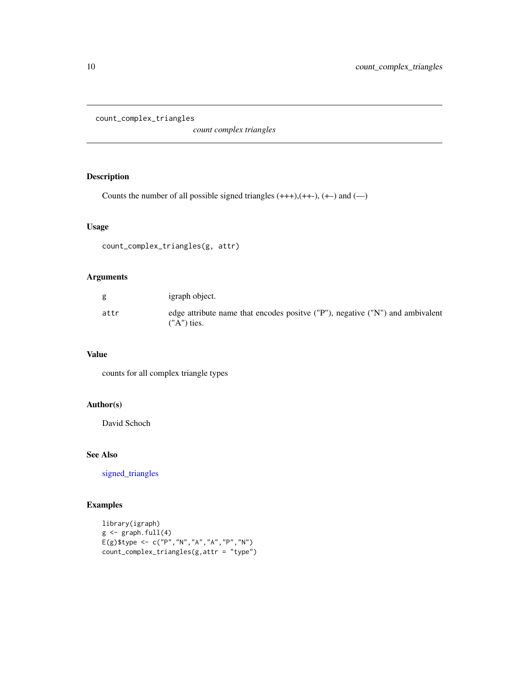<span id="page-9-0"></span>count\_complex\_triangles

*count complex triangles*

# Description

Counts the number of all possible signed triangles  $(+++)$ ,  $(++)$ ,  $(+)$  and  $(-)$ 

#### Usage

```
count_complex_triangles(g, attr)
```
#### Arguments

| g    | igraph object.                                                                                 |
|------|------------------------------------------------------------------------------------------------|
| attr | edge attribute name that encodes positve ("P"), negative ("N") and ambivalent<br>$('A")$ ties. |

#### Value

counts for all complex triangle types

# Author(s)

David Schoch

# See Also

[signed\\_triangles](#page-23-1)

```
library(igraph)
g \leftarrow \text{graph}.full(4)E(g)$type <- c("P","N","A","A","P","N")
count_complex_triangles(g,attr = "type")
```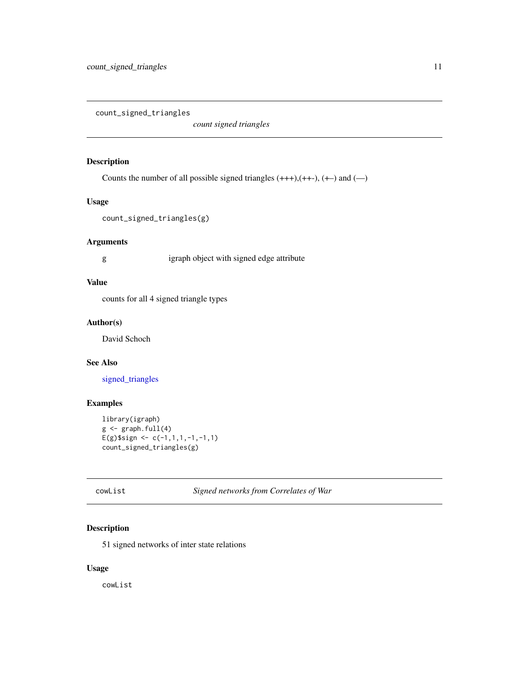<span id="page-10-1"></span><span id="page-10-0"></span>count\_signed\_triangles

*count signed triangles*

#### Description

Counts the number of all possible signed triangles  $(+++)$ ,  $(++)$ ,  $(+)$  and  $(-)$ 

#### Usage

count\_signed\_triangles(g)

# Arguments

g igraph object with signed edge attribute

# Value

counts for all 4 signed triangle types

#### Author(s)

David Schoch

# See Also

[signed\\_triangles](#page-23-1)

# Examples

```
library(igraph)
g \leftarrow \text{graph}.full(4)E(g)$sign <- c(-1,1,1,-1,-1,1)count_signed_triangles(g)
```
# cowList *Signed networks from Correlates of War*

# Description

51 signed networks of inter state relations

# Usage

cowList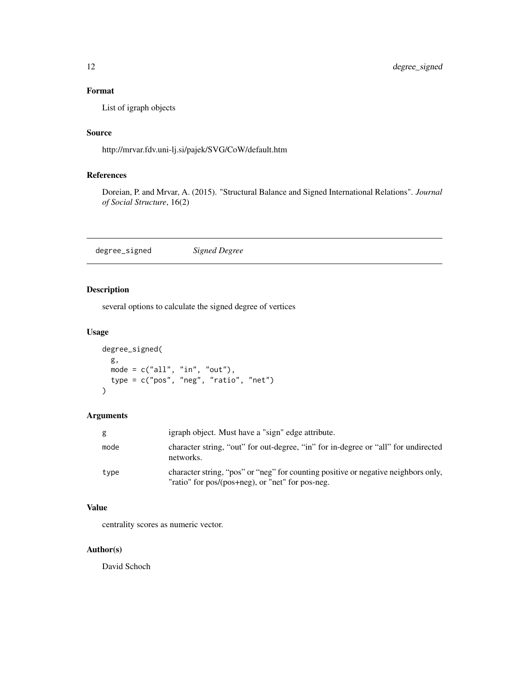# <span id="page-11-0"></span>Format

List of igraph objects

# Source

http://mrvar.fdv.uni-lj.si/pajek/SVG/CoW/default.htm

# References

Doreian, P. and Mrvar, A. (2015). "Structural Balance and Signed International Relations". *Journal of Social Structure*, 16(2)

degree\_signed *Signed Degree*

# Description

several options to calculate the signed degree of vertices

# Usage

```
degree_signed(
  g,
 mode = c("all", "in", "out"),
  type = c("pos", "neg", "ratio", "net")
)
```
#### Arguments

| g    | igraph object. Must have a "sign" edge attribute.                                                                                      |
|------|----------------------------------------------------------------------------------------------------------------------------------------|
| mode | character string, "out" for out-degree, "in" for in-degree or "all" for undirected<br>networks.                                        |
| type | character string, "pos" or "neg" for counting positive or negative neighbors only,<br>"ratio" for pos/(pos+neg), or "net" for pos-neg. |

#### Value

centrality scores as numeric vector.

# Author(s)

David Schoch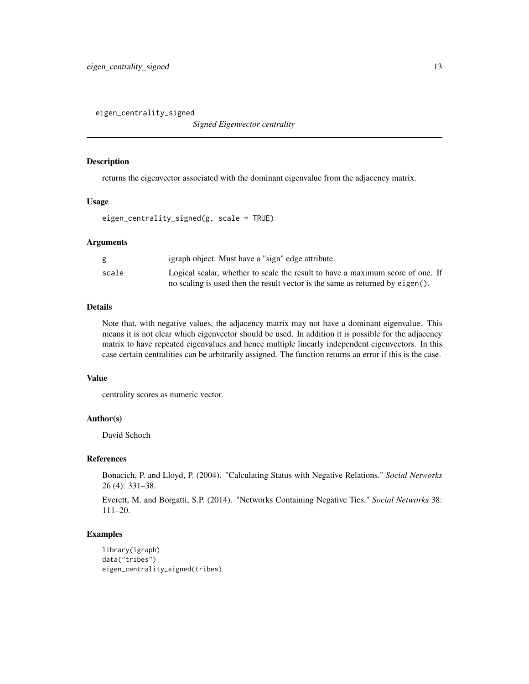<span id="page-12-0"></span>eigen\_centrality\_signed

*Signed Eigenvector centrality*

#### Description

returns the eigenvector associated with the dominant eigenvalue from the adjacency matrix.

#### Usage

eigen\_centrality\_signed(g, scale = TRUE)

#### Arguments

|       | igraph object. Must have a "sign" edge attribute.                              |
|-------|--------------------------------------------------------------------------------|
| scale | Logical scalar, whether to scale the result to have a maximum score of one. If |
|       | no scaling is used then the result vector is the same as returned by eigen().  |

#### Details

Note that, with negative values, the adjacency matrix may not have a dominant eigenvalue. This means it is not clear which eigenvector should be used. In addition it is possible for the adjacency matrix to have repeated eigenvalues and hence multiple linearly independent eigenvectors. In this case certain centralities can be arbitrarily assigned. The function returns an error if this is the case.

#### Value

centrality scores as numeric vector.

#### Author(s)

David Schoch

#### References

Bonacich, P. and Lloyd, P. (2004). "Calculating Status with Negative Relations." *Social Networks* 26 (4): 331–38.

Everett, M. and Borgatti, S.P. (2014). "Networks Containing Negative Ties." *Social Networks* 38: 111–20.

```
library(igraph)
data("tribes")
eigen_centrality_signed(tribes)
```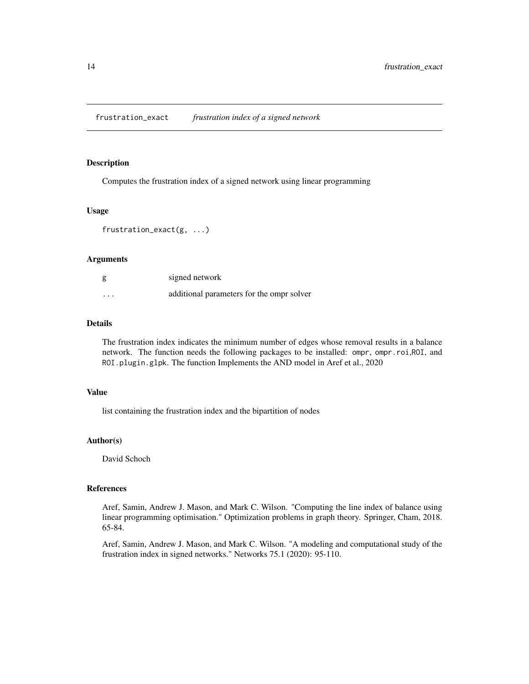<span id="page-13-0"></span>Computes the frustration index of a signed network using linear programming

#### Usage

```
frustration_exact(g, ...)
```
#### Arguments

| g        | signed network                            |
|----------|-------------------------------------------|
| $\cdots$ | additional parameters for the ompr solver |

#### Details

The frustration index indicates the minimum number of edges whose removal results in a balance network. The function needs the following packages to be installed: ompr, ompr.roi,ROI, and ROI.plugin.glpk. The function Implements the AND model in Aref et al., 2020

#### Value

list containing the frustration index and the bipartition of nodes

# Author(s)

David Schoch

#### References

Aref, Samin, Andrew J. Mason, and Mark C. Wilson. "Computing the line index of balance using linear programming optimisation." Optimization problems in graph theory. Springer, Cham, 2018. 65-84.

Aref, Samin, Andrew J. Mason, and Mark C. Wilson. "A modeling and computational study of the frustration index in signed networks." Networks 75.1 (2020): 95-110.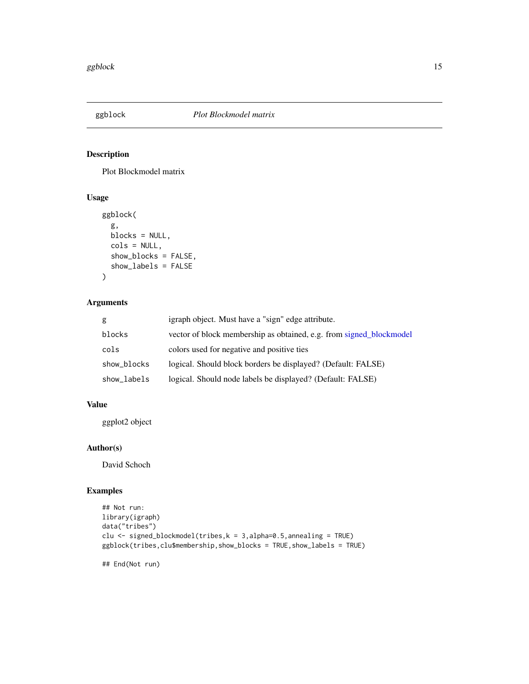<span id="page-14-0"></span>

Plot Blockmodel matrix

# Usage

```
ggblock(
  g,
  blocks = NULL,
  cols = NULL,show_blocks = FALSE,
  show_labels = FALSE
\mathcal{L}
```
# Arguments

| g           | igraph object. Must have a "sign" edge attribute.                   |
|-------------|---------------------------------------------------------------------|
| blocks      | vector of block membership as obtained, e.g. from signed blockmodel |
| cols        | colors used for negative and positive ties                          |
| show_blocks | logical. Should block borders be displayed? (Default: FALSE)        |
| show_labels | logical. Should node labels be displayed? (Default: FALSE)          |

# Value

ggplot2 object

# Author(s)

David Schoch

# Examples

```
## Not run:
library(igraph)
data("tribes")
clu <- signed_blockmodel(tribes,k = 3,alpha=0.5,annealing = TRUE)
ggblock(tribes,clu$membership,show_blocks = TRUE,show_labels = TRUE)
```
## End(Not run)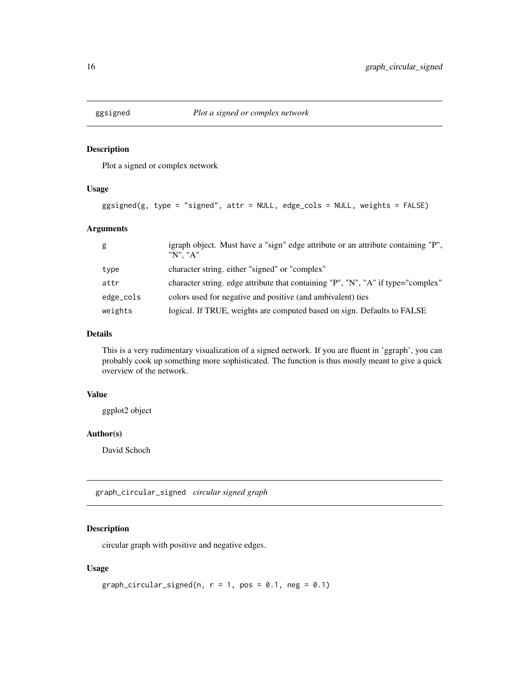<span id="page-15-0"></span>

Plot a signed or complex network

#### Usage

```
ggsigned(g, type = "signed", attr = NULL, edge_cols = NULL, weights = FALSE)
```
#### Arguments

| g         | igraph object. Must have a "sign" edge attribute or an attribute containing "P",<br>"N". "A" |
|-----------|----------------------------------------------------------------------------------------------|
| type      | character string, either "signed" or "complex"                                               |
| attr      | character string. edge attribute that containing "P", "N", "A" if type="complex"             |
| edge_cols | colors used for negative and positive (and ambivalent) ties                                  |
| weights   | logical. If TRUE, weights are computed based on sign. Defaults to FALSE                      |

# Details

This is a very rudimentary visualization of a signed network. If you are fluent in 'ggraph', you can probably cook up something more sophisticated. The function is thus mostly meant to give a quick overview of the network.

#### Value

ggplot2 object

#### Author(s)

David Schoch

graph\_circular\_signed *circular signed graph*

# Description

circular graph with positive and negative edges.

# Usage

```
graph_circular_signed(n, r = 1, pos = 0.1, neg = 0.1)
```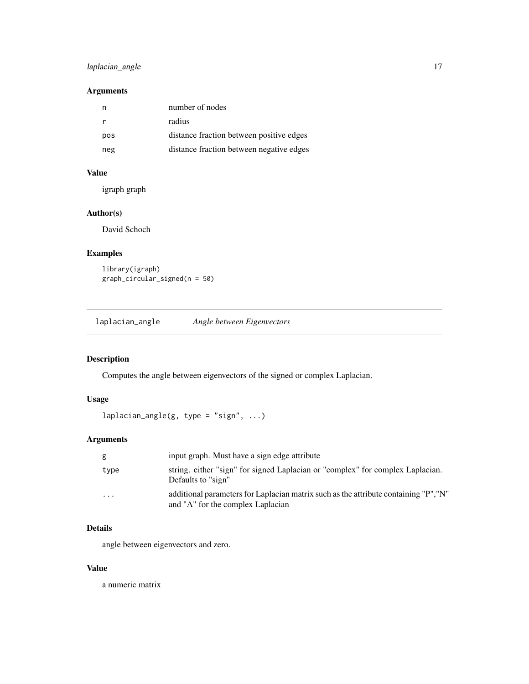# <span id="page-16-0"></span>laplacian\_angle 17

# Arguments

| n   | number of nodes                          |
|-----|------------------------------------------|
| r   | radius                                   |
| pos | distance fraction between positive edges |
| neg | distance fraction between negative edges |

# Value

igraph graph

# Author(s)

David Schoch

# Examples

library(igraph) graph\_circular\_signed(n = 50)

laplacian\_angle *Angle between Eigenvectors*

# Description

Computes the angle between eigenvectors of the signed or complex Laplacian.

# Usage

```
laplacian\_angle(g, type = "sign", ...)
```
# Arguments

| g                       | input graph. Must have a sign edge attribute                                                                              |
|-------------------------|---------------------------------------------------------------------------------------------------------------------------|
| type                    | string. either "sign" for signed Laplacian or "complex" for complex Laplacian.<br>Defaults to "sign"                      |
| $\cdot$ $\cdot$ $\cdot$ | additional parameters for Laplacian matrix such as the attribute containing "P", "N"<br>and "A" for the complex Laplacian |

# Details

angle between eigenvectors and zero.

# Value

a numeric matrix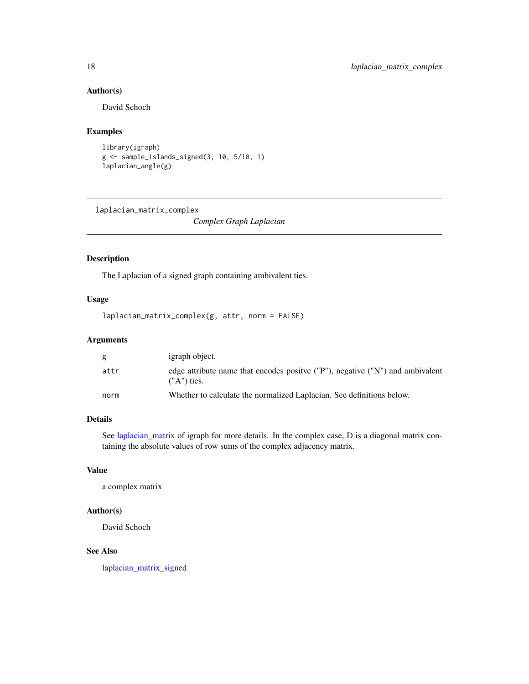# Author(s)

David Schoch

# Examples

```
library(igraph)
g <- sample_islands_signed(3, 10, 5/10, 1)
laplacian_angle(g)
```
<span id="page-17-1"></span>laplacian\_matrix\_complex

*Complex Graph Laplacian*

# Description

The Laplacian of a signed graph containing ambivalent ties.

# Usage

laplacian\_matrix\_complex(g, attr, norm = FALSE)

#### Arguments

| g    | igraph object.                                                                                   |
|------|--------------------------------------------------------------------------------------------------|
| attr | edge attribute name that encodes positive ("P"), negative ("N") and ambivalent<br>$(''A")$ ties. |
| norm | Whether to calculate the normalized Laplacian. See definitions below.                            |

# Details

See [laplacian\\_matrix](#page-0-0) of igraph for more details. In the complex case, D is a diagonal matrix containing the absolute values of row sums of the complex adjacency matrix.

#### Value

a complex matrix

#### Author(s)

David Schoch

# See Also

[laplacian\\_matrix\\_signed](#page-18-1)

<span id="page-17-0"></span>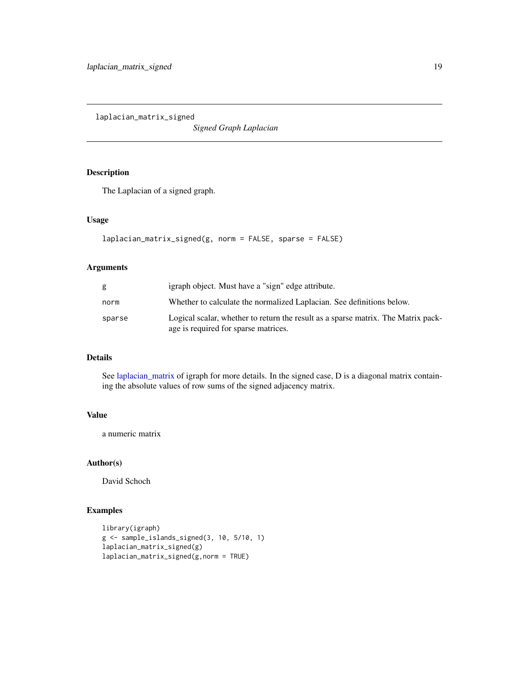<span id="page-18-1"></span><span id="page-18-0"></span>laplacian\_matrix\_signed

*Signed Graph Laplacian*

# Description

The Laplacian of a signed graph.

#### Usage

```
laplacian_matrix_signed(g, norm = FALSE, sparse = FALSE)
```
#### Arguments

| g      | igraph object. Must have a "sign" edge attribute.                                                                         |
|--------|---------------------------------------------------------------------------------------------------------------------------|
| norm   | Whether to calculate the normalized Laplacian. See definitions below.                                                     |
| sparse | Logical scalar, whether to return the result as a sparse matrix. The Matrix pack-<br>age is required for sparse matrices. |

# Details

See [laplacian\\_matrix](#page-0-0) of igraph for more details. In the signed case, D is a diagonal matrix containing the absolute values of row sums of the signed adjacency matrix.

#### Value

a numeric matrix

#### Author(s)

David Schoch

```
library(igraph)
g <- sample_islands_signed(3, 10, 5/10, 1)
laplacian_matrix_signed(g)
laplacian_matrix_signed(g,norm = TRUE)
```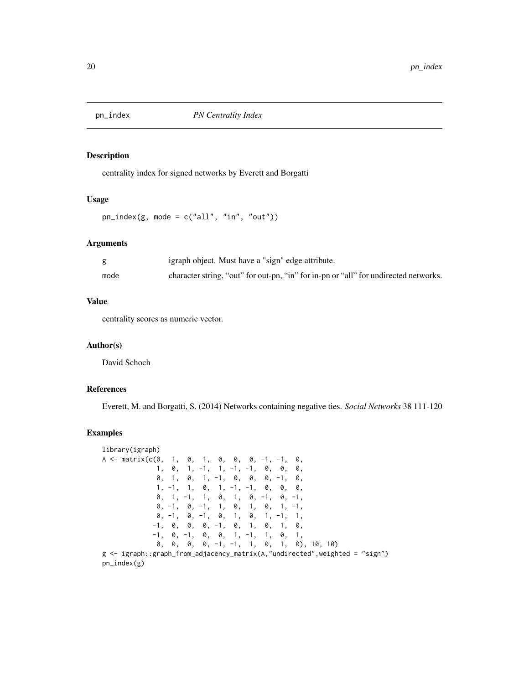<span id="page-19-0"></span>

centrality index for signed networks by Everett and Borgatti

#### Usage

 $pn_index(g, mode = c("all", "in", "out"))$ 

#### Arguments

|      | igraph object. Must have a "sign" edge attribute.                                    |
|------|--------------------------------------------------------------------------------------|
| mode | character string, "out" for out-pn, "in" for in-pn or "all" for undirected networks. |

# Value

centrality scores as numeric vector.

#### Author(s)

David Schoch

# References

Everett, M. and Borgatti, S. (2014) Networks containing negative ties. *Social Networks* 38 111-120

```
library(igraph)
A \leq - matrix(c(0, 1, 0, 1, 0, 0, 0, -1, -1, 0,
            1, 0, 1, -1, 1, -1, -1, 0, 0, 0,
            0, 1, 0, 1, -1, 0, 0, 0, -1, 0,
            1, -1, 1, 0, 1, -1, -1, 0, 0, 0,0, 1, -1, 1, 0, 1, 0, -1, 0, -1,
            0, -1, 0, -1, 1, 0, 1, 0, 1, -1,
            0, -1, 0, -1, 0, 1, 0, 1, -1, 1,
           -1, 0, 0, 0, -1, 0, 1, 0, 1, 0,
           -1, 0, -1, 0, 0, 1, -1, 1, 0, 1,
            0, 0, 0, 0, -1, -1, 1, 0, 1, 0), 10, 10)
g <- igraph::graph_from_adjacency_matrix(A,"undirected",weighted = "sign")
pn_index(g)
```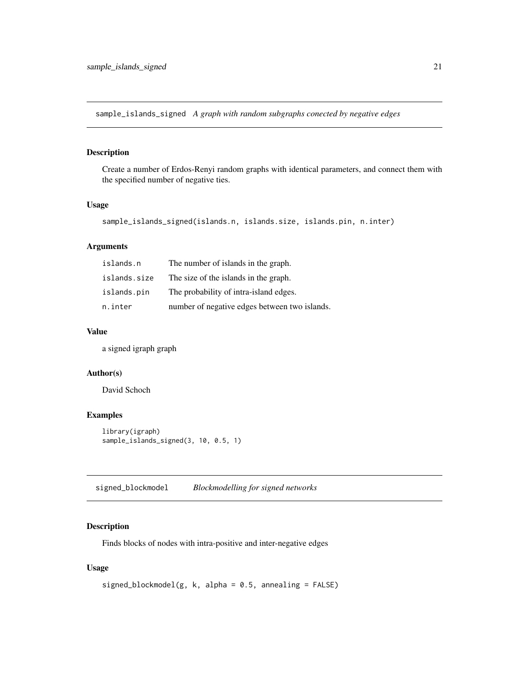<span id="page-20-0"></span>sample\_islands\_signed *A graph with random subgraphs conected by negative edges*

# Description

Create a number of Erdos-Renyi random graphs with identical parameters, and connect them with the specified number of negative ties.

#### Usage

```
sample_islands_signed(islands.n, islands.size, islands.pin, n.inter)
```
# Arguments

| islands.n    | The number of islands in the graph.           |
|--------------|-----------------------------------------------|
| islands.size | The size of the islands in the graph.         |
| islands.pin  | The probability of intra-island edges.        |
| n.inter      | number of negative edges between two islands. |

#### Value

a signed igraph graph

#### Author(s)

David Schoch

#### Examples

```
library(igraph)
sample_islands_signed(3, 10, 0.5, 1)
```
<span id="page-20-1"></span>signed\_blockmodel *Blockmodelling for signed networks*

# Description

Finds blocks of nodes with intra-positive and inter-negative edges

#### Usage

```
signed_blockmodel(g, k, alpha = 0.5, annealing = FALSE)
```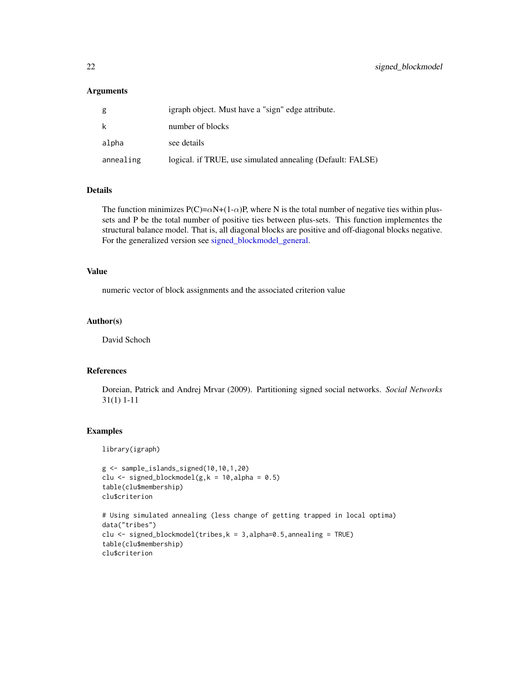#### <span id="page-21-0"></span>**Arguments**

| g         | igraph object. Must have a "sign" edge attribute.          |
|-----------|------------------------------------------------------------|
| k         | number of blocks                                           |
| alpha     | see details                                                |
| annealing | logical. if TRUE, use simulated annealing (Default: FALSE) |

# Details

The function minimizes  $P(C) = \alpha N + (1 - \alpha)P$ , where N is the total number of negative ties within plussets and P be the total number of positive ties between plus-sets. This function implementes the structural balance model. That is, all diagonal blocks are positive and off-diagonal blocks negative. For the generalized version see [signed\\_blockmodel\\_general.](#page-22-1)

#### Value

numeric vector of block assignments and the associated criterion value

#### Author(s)

David Schoch

# References

Doreian, Patrick and Andrej Mrvar (2009). Partitioning signed social networks. *Social Networks* 31(1) 1-11

#### Examples

library(igraph)

```
g <- sample_islands_signed(10,10,1,20)
clu \le signed_blockmodel(g, k = 10, alpha = 0.5)
table(clu$membership)
clu$criterion
# Using simulated annealing (less change of getting trapped in local optima)
```

```
data("tribes")
clu \le signed_blockmodel(tribes, k = 3, alpha=0.5, annealing = TRUE)
table(clu$membership)
clu$criterion
```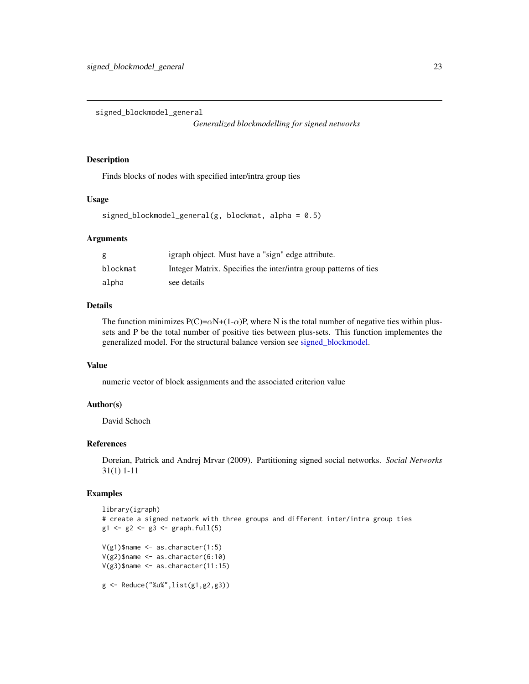<span id="page-22-1"></span><span id="page-22-0"></span>signed\_blockmodel\_general

*Generalized blockmodelling for signed networks*

#### Description

Finds blocks of nodes with specified inter/intra group ties

#### Usage

signed\_blockmodel\_general(g, blockmat, alpha =  $0.5$ )

#### Arguments

| g        | igraph object. Must have a "sign" edge attribute.                |
|----------|------------------------------------------------------------------|
| blockmat | Integer Matrix. Specifies the inter/intra group patterns of ties |
| alpha    | see details                                                      |

#### Details

The function minimizes  $P(C) = \alpha N + (1 - \alpha)P$ , where N is the total number of negative ties within plussets and P be the total number of positive ties between plus-sets. This function implementes the generalized model. For the structural balance version see [signed\\_blockmodel.](#page-20-1)

# Value

numeric vector of block assignments and the associated criterion value

# Author(s)

David Schoch

#### References

Doreian, Patrick and Andrej Mrvar (2009). Partitioning signed social networks. *Social Networks* 31(1) 1-11

```
library(igraph)
# create a signed network with three groups and different inter/intra group ties
g1 \leftarrow g2 \leftarrow g3 \leftarrow graph . full(5)V(g1)$name <- as.character(1:5)
V(g2)$name <- as.character(6:10)
V(g3)$name <- as.character(11:15)
g <- Reduce("%u%",list(g1,g2,g3))
```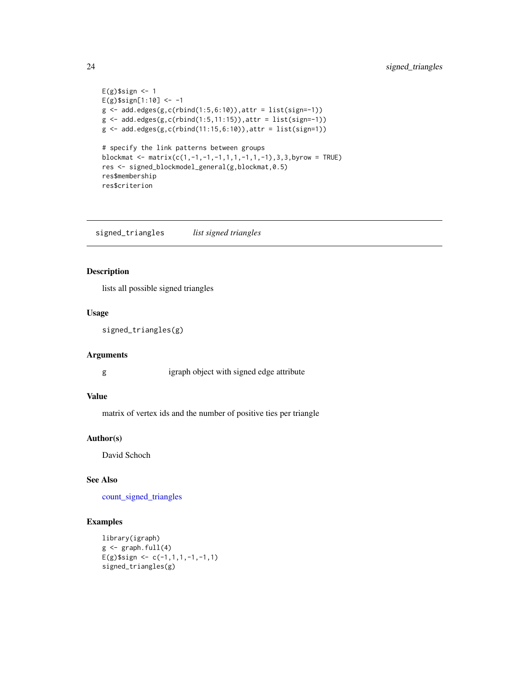```
E(g)$sign <- 1
E(g)$sign[1:10] <- -1
g \leftarrow add.deg(g,c(rbind(1:5,6:10)),attr = list(sign=-1))g \leftarrow add.deg(g,c(rbind(1:5,11:15)),attr = list(sign=1))g \leftarrow add.deg(g,c(rbind(11:15,6:10)),attr = list(sign=1))# specify the link patterns between groups
blockmat <- matrix(c(1,-1,-1,-1,1,1,-1,1,-1),3,3,byrow = TRUE)
res <- signed_blockmodel_general(g,blockmat,0.5)
res$membership
res$criterion
```
<span id="page-23-1"></span>signed\_triangles *list signed triangles*

# Description

lists all possible signed triangles

# Usage

signed\_triangles(g)

#### Arguments

g igraph object with signed edge attribute

#### Value

matrix of vertex ids and the number of positive ties per triangle

#### Author(s)

David Schoch

# See Also

[count\\_signed\\_triangles](#page-10-1)

```
library(igraph)
g \leftarrow \text{graph.full}(4)E(g)$sign <- c(-1,1,1,-1,-1,1)
signed_triangles(g)
```
<span id="page-23-0"></span>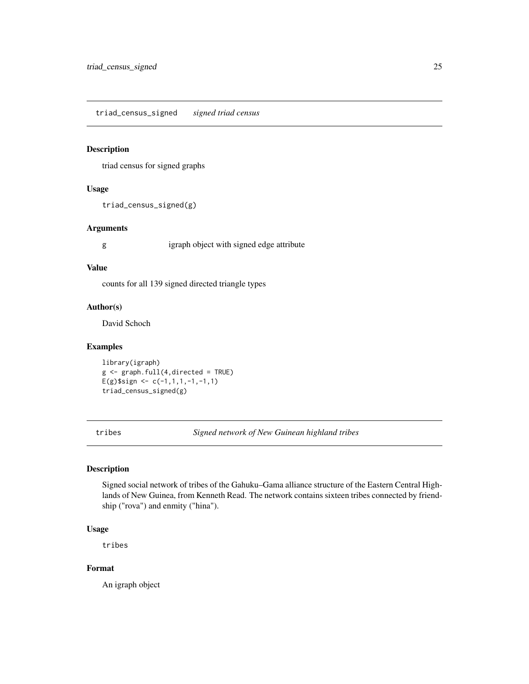<span id="page-24-0"></span>triad\_census\_signed *signed triad census*

# Description

triad census for signed graphs

#### Usage

```
triad_census_signed(g)
```
#### Arguments

g igraph object with signed edge attribute

#### Value

counts for all 139 signed directed triangle types

#### Author(s)

David Schoch

#### Examples

library(igraph)  $g \leftarrow graph.full(4,directed = TRUE)$ E(g)\$sign <-  $c(-1,1,1,-1,-1,1)$ triad\_census\_signed(g)

tribes *Signed network of New Guinean highland tribes*

#### Description

Signed social network of tribes of the Gahuku–Gama alliance structure of the Eastern Central Highlands of New Guinea, from Kenneth Read. The network contains sixteen tribes connected by friendship ("rova") and enmity ("hina").

#### Usage

tribes

# Format

An igraph object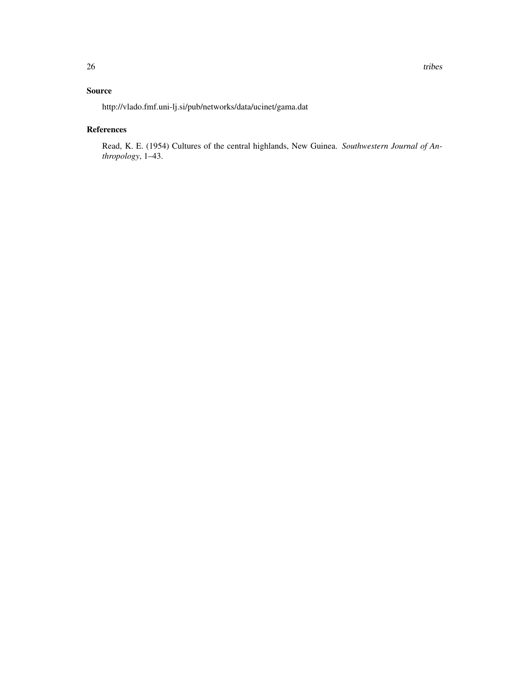# Source

http://vlado.fmf.uni-lj.si/pub/networks/data/ucinet/gama.dat

# References

Read, K. E. (1954) Cultures of the central highlands, New Guinea. *Southwestern Journal of Anthropology*, 1–43.